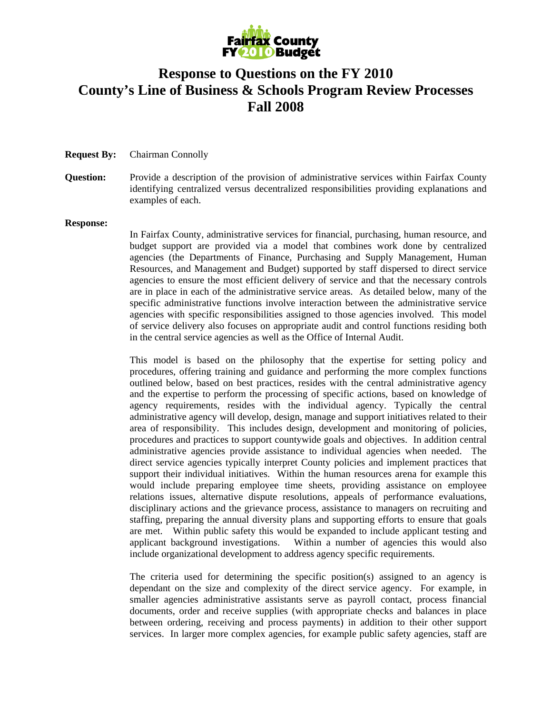

# **Response to Questions on the FY 2010 County's Line of Business & Schools Program Review Processes Fall 2008**

#### **Request By:** Chairman Connolly

**Question:** Provide a description of the provision of administrative services within Fairfax County identifying centralized versus decentralized responsibilities providing explanations and examples of each.

#### **Response:**

In Fairfax County, administrative services for financial, purchasing, human resource, and budget support are provided via a model that combines work done by centralized agencies (the Departments of Finance, Purchasing and Supply Management, Human Resources, and Management and Budget) supported by staff dispersed to direct service agencies to ensure the most efficient delivery of service and that the necessary controls are in place in each of the administrative service areas. As detailed below, many of the specific administrative functions involve interaction between the administrative service agencies with specific responsibilities assigned to those agencies involved. This model of service delivery also focuses on appropriate audit and control functions residing both in the central service agencies as well as the Office of Internal Audit.

This model is based on the philosophy that the expertise for setting policy and procedures, offering training and guidance and performing the more complex functions outlined below, based on best practices, resides with the central administrative agency and the expertise to perform the processing of specific actions, based on knowledge of agency requirements, resides with the individual agency. Typically the central administrative agency will develop, design, manage and support initiatives related to their area of responsibility. This includes design, development and monitoring of policies, procedures and practices to support countywide goals and objectives. In addition central administrative agencies provide assistance to individual agencies when needed. The direct service agencies typically interpret County policies and implement practices that support their individual initiatives. Within the human resources arena for example this would include preparing employee time sheets, providing assistance on employee relations issues, alternative dispute resolutions, appeals of performance evaluations, disciplinary actions and the grievance process, assistance to managers on recruiting and staffing, preparing the annual diversity plans and supporting efforts to ensure that goals are met. Within public safety this would be expanded to include applicant testing and applicant background investigations. Within a number of agencies this would also include organizational development to address agency specific requirements.

The criteria used for determining the specific position(s) assigned to an agency is dependant on the size and complexity of the direct service agency. For example, in smaller agencies administrative assistants serve as payroll contact, process financial documents, order and receive supplies (with appropriate checks and balances in place between ordering, receiving and process payments) in addition to their other support services. In larger more complex agencies, for example public safety agencies, staff are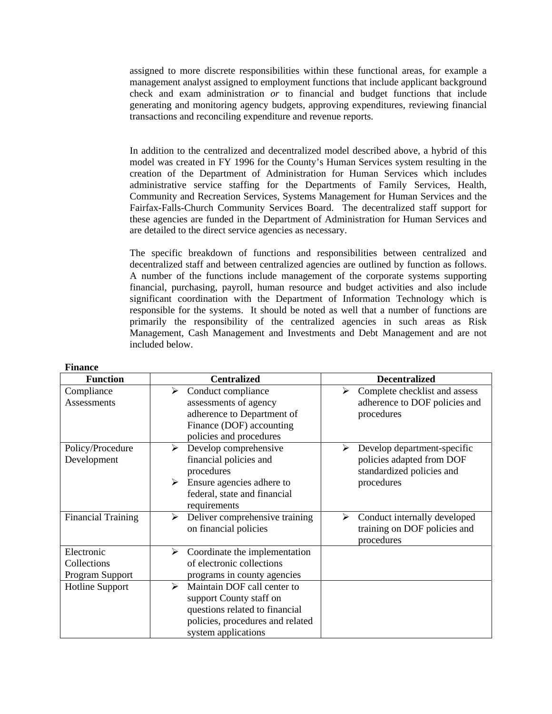assigned to more discrete responsibilities within these functional areas, for example a management analyst assigned to employment functions that include applicant background check and exam administration *or* to financial and budget functions that include generating and monitoring agency budgets, approving expenditures, reviewing financial transactions and reconciling expenditure and revenue reports.

In addition to the centralized and decentralized model described above, a hybrid of this model was created in FY 1996 for the County's Human Services system resulting in the creation of the Department of Administration for Human Services which includes administrative service staffing for the Departments of Family Services, Health, Community and Recreation Services, Systems Management for Human Services and the Fairfax-Falls-Church Community Services Board. The decentralized staff support for these agencies are funded in the Department of Administration for Human Services and are detailed to the direct service agencies as necessary.

The specific breakdown of functions and responsibilities between centralized and decentralized staff and between centralized agencies are outlined by function as follows. A number of the functions include management of the corporate systems supporting financial, purchasing, payroll, human resource and budget activities and also include significant coordination with the Department of Information Technology which is responsible for the systems. It should be noted as well that a number of functions are primarily the responsibility of the centralized agencies in such areas as Risk Management, Cash Management and Investments and Debt Management and are not included below.

| <b>Function</b>                              | <b>Centralized</b>                                                                                                                                                           | <b>Decentralized</b>                                                                                     |
|----------------------------------------------|------------------------------------------------------------------------------------------------------------------------------------------------------------------------------|----------------------------------------------------------------------------------------------------------|
| Compliance<br><b>Assessments</b>             | Conduct compliance<br>➤<br>assessments of agency<br>adherence to Department of<br>Finance (DOF) accounting<br>policies and procedures                                        | Complete checklist and assess<br>≻<br>adherence to DOF policies and<br>procedures                        |
| Policy/Procedure<br>Development              | Develop comprehensive<br>≻<br>financial policies and<br>procedures<br>Ensure agencies adhere to<br>➤<br>federal, state and financial<br>requirements                         | Develop department-specific<br>➤<br>policies adapted from DOF<br>standardized policies and<br>procedures |
| <b>Financial Training</b>                    | Deliver comprehensive training<br>≻<br>on financial policies                                                                                                                 | Conduct internally developed<br>≻<br>training on DOF policies and<br>procedures                          |
| Electronic<br>Collections<br>Program Support | Coordinate the implementation<br>≻<br>of electronic collections<br>programs in county agencies                                                                               |                                                                                                          |
| <b>Hotline Support</b>                       | Maintain DOF call center to<br>$\blacktriangleright$<br>support County staff on<br>questions related to financial<br>policies, procedures and related<br>system applications |                                                                                                          |

### **Finance**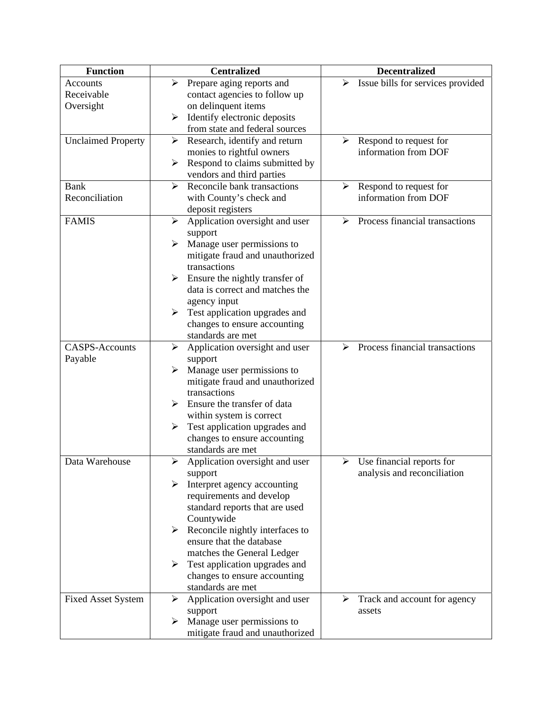| <b>Function</b>           | <b>Centralized</b>                                      | <b>Decentralized</b>                                    |
|---------------------------|---------------------------------------------------------|---------------------------------------------------------|
| Accounts                  | Prepare aging reports and<br>➤                          | Issue bills for services provided<br>➤                  |
| Receivable                | contact agencies to follow up                           |                                                         |
| Oversight                 | on delinquent items                                     |                                                         |
|                           | Identify electronic deposits<br>➤                       |                                                         |
|                           | from state and federal sources                          |                                                         |
| <b>Unclaimed Property</b> | Research, identify and return<br>➤                      | Respond to request for<br>➤                             |
|                           | monies to rightful owners                               | information from DOF                                    |
|                           | Respond to claims submitted by<br>➤                     |                                                         |
|                           | vendors and third parties                               |                                                         |
| <b>Bank</b>               | Reconcile bank transactions<br>➤                        | Respond to request for<br>➤                             |
| Reconciliation            | with County's check and                                 | information from DOF                                    |
|                           | deposit registers                                       |                                                         |
| <b>FAMIS</b>              | Application oversight and user<br>➤                     | Process financial transactions<br>≻                     |
|                           | support                                                 |                                                         |
|                           | Manage user permissions to<br>➤                         |                                                         |
|                           | mitigate fraud and unauthorized                         |                                                         |
|                           | transactions                                            |                                                         |
|                           | Ensure the nightly transfer of<br>➤                     |                                                         |
|                           | data is correct and matches the                         |                                                         |
|                           | agency input                                            |                                                         |
|                           | Test application upgrades and<br>➤                      |                                                         |
|                           | changes to ensure accounting                            |                                                         |
|                           | standards are met                                       |                                                         |
| <b>CASPS-Accounts</b>     | Application oversight and user<br>➤                     | Process financial transactions<br>$\blacktriangleright$ |
| Payable                   | support                                                 |                                                         |
|                           | Manage user permissions to<br>➤                         |                                                         |
|                           | mitigate fraud and unauthorized                         |                                                         |
|                           | transactions                                            |                                                         |
|                           | Ensure the transfer of data                             |                                                         |
|                           | within system is correct                                |                                                         |
|                           | Test application upgrades and<br>➤                      |                                                         |
|                           | changes to ensure accounting                            |                                                         |
|                           | standards are met                                       |                                                         |
| Data Warehouse            | $\blacktriangleright$<br>Application oversight and user | Use financial reports for<br>➤                          |
|                           | support                                                 | analysis and reconciliation                             |
|                           | Interpret agency accounting                             |                                                         |
|                           | requirements and develop                                |                                                         |
|                           | standard reports that are used                          |                                                         |
|                           | Countywide                                              |                                                         |
|                           | Reconcile nightly interfaces to<br>➤                    |                                                         |
|                           | ensure that the database                                |                                                         |
|                           |                                                         |                                                         |
|                           | matches the General Ledger                              |                                                         |
|                           | Test application upgrades and<br>➤                      |                                                         |
|                           | changes to ensure accounting                            |                                                         |
|                           | standards are met                                       |                                                         |
| <b>Fixed Asset System</b> | Application oversight and user<br>➤                     | Track and account for agency<br>➤                       |
|                           | support                                                 | assets                                                  |
|                           | Manage user permissions to<br>➤                         |                                                         |
|                           | mitigate fraud and unauthorized                         |                                                         |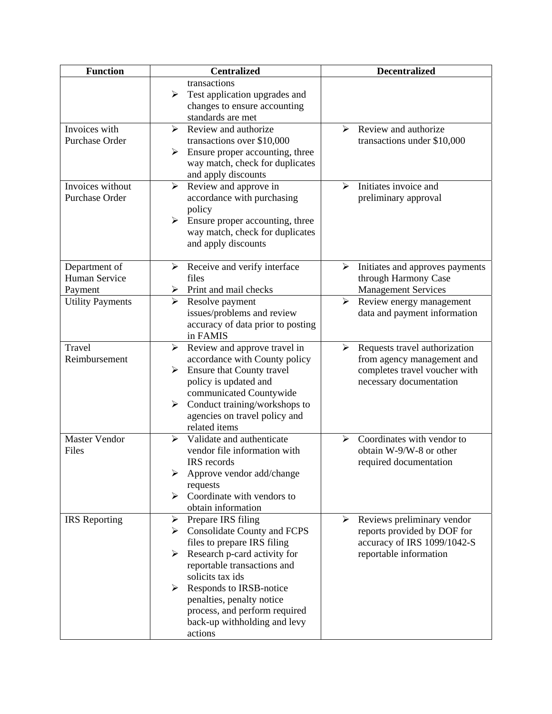| <b>Function</b>                           | <b>Centralized</b>                                                                                                                                                                                                                                                                                                                 | <b>Decentralized</b>                                                                                                         |
|-------------------------------------------|------------------------------------------------------------------------------------------------------------------------------------------------------------------------------------------------------------------------------------------------------------------------------------------------------------------------------------|------------------------------------------------------------------------------------------------------------------------------|
|                                           | transactions<br>➤<br>Test application upgrades and<br>changes to ensure accounting<br>standards are met                                                                                                                                                                                                                            |                                                                                                                              |
| Invoices with<br>Purchase Order           | Review and authorize<br>➤<br>transactions over \$10,000<br>Ensure proper accounting, three<br>➤<br>way match, check for duplicates<br>and apply discounts                                                                                                                                                                          | Review and authorize<br>↘<br>transactions under \$10,000                                                                     |
| Invoices without<br>Purchase Order        | $\blacktriangleright$<br>Review and approve in<br>accordance with purchasing<br>policy<br>Ensure proper accounting, three<br>≻<br>way match, check for duplicates<br>and apply discounts                                                                                                                                           | Initiates invoice and<br>⋗<br>preliminary approval                                                                           |
| Department of<br>Human Service<br>Payment | Receive and verify interface<br>≻<br>files<br>Print and mail checks<br>⋗                                                                                                                                                                                                                                                           | Initiates and approves payments<br>➤<br>through Harmony Case<br><b>Management Services</b>                                   |
| <b>Utility Payments</b>                   | ➤<br>Resolve payment<br>issues/problems and review<br>accuracy of data prior to posting<br>in FAMIS                                                                                                                                                                                                                                | Review energy management<br>➤<br>data and payment information                                                                |
| Travel<br>Reimbursement                   | Review and approve travel in<br>➤<br>accordance with County policy<br><b>Ensure that County travel</b><br>$\blacktriangleright$<br>policy is updated and<br>communicated Countywide<br>Conduct training/workshops to<br>➤<br>agencies on travel policy and<br>related items                                                        | Requests travel authorization<br>➤<br>from agency management and<br>completes travel voucher with<br>necessary documentation |
| <b>Master Vendor</b><br>Files             | Validate and authenticate<br>➤<br>vendor file information with<br>IRS records<br>Approve vendor add/change<br>requests<br>Coordinate with vendors to<br>obtain information                                                                                                                                                         | Coordinates with vendor to<br>$\blacktriangleright$<br>obtain W-9/W-8 or other<br>required documentation                     |
| <b>IRS</b> Reporting                      | Prepare IRS filing<br>➤<br><b>Consolidate County and FCPS</b><br>➤<br>files to prepare IRS filing<br>Research p-card activity for<br>≻<br>reportable transactions and<br>solicits tax ids<br>Responds to IRSB-notice<br>➤<br>penalties, penalty notice<br>process, and perform required<br>back-up withholding and levy<br>actions | Reviews preliminary vendor<br>≻<br>reports provided by DOF for<br>accuracy of IRS 1099/1042-S<br>reportable information      |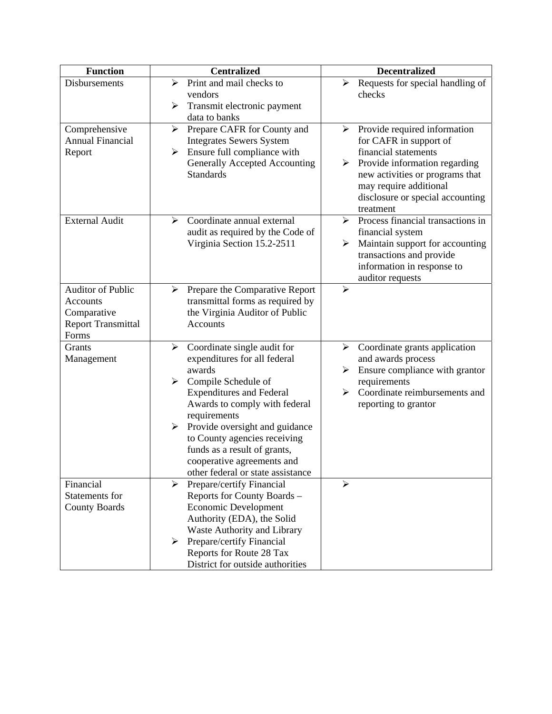| <b>Function</b>                          | <b>Centralized</b>                                                  | <b>Decentralized</b>                                        |
|------------------------------------------|---------------------------------------------------------------------|-------------------------------------------------------------|
| Disbursements                            | Print and mail checks to<br>➤                                       | Requests for special handling of<br>➤                       |
|                                          | vendors                                                             | checks                                                      |
|                                          | Transmit electronic payment<br>➤                                    |                                                             |
|                                          | data to banks                                                       |                                                             |
| Comprehensive<br><b>Annual Financial</b> | Prepare CAFR for County and<br>➤<br><b>Integrates Sewers System</b> | Provide required information<br>≻<br>for CAFR in support of |
| Report                                   | Ensure full compliance with<br>➤                                    | financial statements                                        |
|                                          | Generally Accepted Accounting                                       | Provide information regarding                               |
|                                          | <b>Standards</b>                                                    | new activities or programs that                             |
|                                          |                                                                     | may require additional                                      |
|                                          |                                                                     | disclosure or special accounting                            |
|                                          |                                                                     | treatment                                                   |
| <b>External Audit</b>                    | Coordinate annual external<br>≻                                     | Process financial transactions in<br>➤                      |
|                                          | audit as required by the Code of                                    | financial system                                            |
|                                          | Virginia Section 15.2-2511                                          | Maintain support for accounting<br>➤                        |
|                                          |                                                                     | transactions and provide                                    |
|                                          |                                                                     | information in response to                                  |
| <b>Auditor of Public</b>                 | Prepare the Comparative Report<br>➤                                 | auditor requests<br>$\blacktriangleright$                   |
| Accounts                                 | transmittal forms as required by                                    |                                                             |
| Comparative                              | the Virginia Auditor of Public                                      |                                                             |
| <b>Report Transmittal</b>                | Accounts                                                            |                                                             |
| Forms                                    |                                                                     |                                                             |
| Grants                                   | Coordinate single audit for<br>➤                                    | Coordinate grants application<br>≻                          |
| Management                               | expenditures for all federal                                        | and awards process                                          |
|                                          | awards                                                              | Ensure compliance with grantor<br>➤                         |
|                                          | Compile Schedule of<br>➤                                            | requirements                                                |
|                                          | <b>Expenditures and Federal</b>                                     | Coordinate reimbursements and<br>➤                          |
|                                          | Awards to comply with federal<br>requirements                       | reporting to grantor                                        |
|                                          | Provide oversight and guidance<br>➤                                 |                                                             |
|                                          | to County agencies receiving                                        |                                                             |
|                                          | funds as a result of grants,                                        |                                                             |
|                                          | cooperative agreements and                                          |                                                             |
|                                          | other federal or state assistance                                   |                                                             |
| Financial                                | Prepare/certify Financial<br>≻                                      | $\blacktriangleright$                                       |
| Statements for                           | Reports for County Boards -                                         |                                                             |
| <b>County Boards</b>                     | <b>Economic Development</b>                                         |                                                             |
|                                          | Authority (EDA), the Solid                                          |                                                             |
|                                          | Waste Authority and Library                                         |                                                             |
|                                          | Prepare/certify Financial<br>➤<br>Reports for Route 28 Tax          |                                                             |
|                                          | District for outside authorities                                    |                                                             |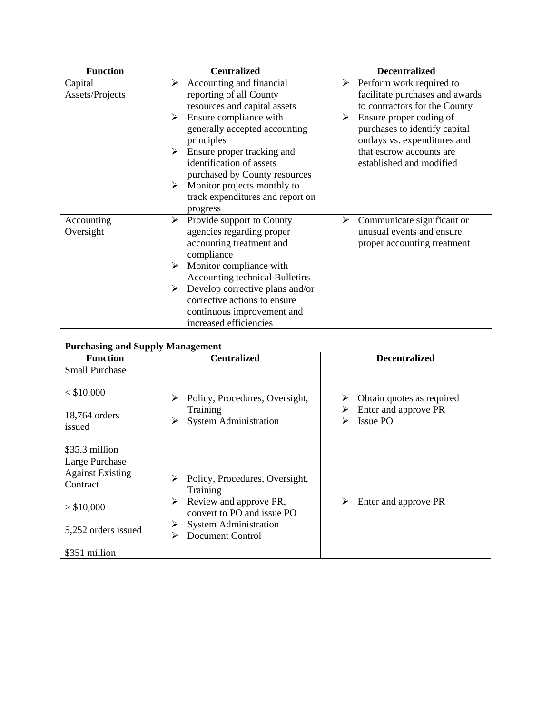| <b>Function</b> | <b>Centralized</b>                    | <b>Decentralized</b>            |
|-----------------|---------------------------------------|---------------------------------|
| Capital         | Accounting and financial<br>➤         | Perform work required to<br>≻   |
| Assets/Projects | reporting of all County               | facilitate purchases and awards |
|                 | resources and capital assets          | to contractors for the County   |
|                 | Ensure compliance with<br>➤           | Ensure proper coding of<br>➤    |
|                 | generally accepted accounting         | purchases to identify capital   |
|                 | principles                            | outlays vs. expenditures and    |
|                 | Ensure proper tracking and<br>➤       | that escrow accounts are        |
|                 | identification of assets              | established and modified        |
|                 | purchased by County resources         |                                 |
|                 | Monitor projects monthly to<br>➤      |                                 |
|                 | track expenditures and report on      |                                 |
|                 | progress                              |                                 |
| Accounting      | Provide support to County<br>➤        | Communicate significant or<br>➤ |
| Oversight       | agencies regarding proper             | unusual events and ensure       |
|                 | accounting treatment and              | proper accounting treatment     |
|                 | compliance                            |                                 |
|                 | Monitor compliance with<br>➤          |                                 |
|                 | <b>Accounting technical Bulletins</b> |                                 |
|                 | Develop corrective plans and/or<br>➤  |                                 |
|                 | corrective actions to ensure          |                                 |
|                 | continuous improvement and            |                                 |
|                 | increased efficiencies                |                                 |

## **Purchasing and Supply Management**

| <b>Function</b>                                                     | <b>Centralized</b>                                                                                           | <b>Decentralized</b>                                                                |
|---------------------------------------------------------------------|--------------------------------------------------------------------------------------------------------------|-------------------------------------------------------------------------------------|
| <b>Small Purchase</b><br>$<$ \$10,000<br>18,764 orders<br>issued    | Policy, Procedures, Oversight,<br>≻<br>Training<br><b>System Administration</b><br>≻                         | Obtain quotes as required<br>➤<br>Enter and approve PR<br>➤<br><b>Issue PO</b><br>➤ |
| \$35.3 million                                                      |                                                                                                              |                                                                                     |
| Large Purchase<br><b>Against Existing</b><br>Contract<br>> \$10,000 | Policy, Procedures, Oversight,<br>➤<br>Training<br>Review and approve PR,<br>➤<br>convert to PO and issue PO | Enter and approve PR<br>➤                                                           |
| 5,252 orders issued<br>\$351 million                                | <b>System Administration</b><br>➤<br><b>Document Control</b><br>➤                                            |                                                                                     |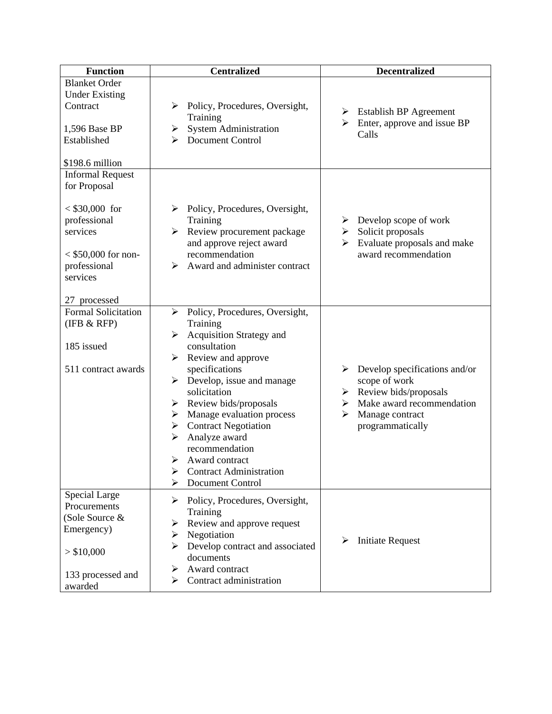| <b>Function</b>                                                                                                                                             | <b>Centralized</b>                                                                                                                                                                                                                                                                                                                                                                                                                                       | <b>Decentralized</b>                                                                                                                                                        |
|-------------------------------------------------------------------------------------------------------------------------------------------------------------|----------------------------------------------------------------------------------------------------------------------------------------------------------------------------------------------------------------------------------------------------------------------------------------------------------------------------------------------------------------------------------------------------------------------------------------------------------|-----------------------------------------------------------------------------------------------------------------------------------------------------------------------------|
| <b>Blanket Order</b><br><b>Under Existing</b><br>Contract<br>1,596 Base BP<br>Established<br>\$198.6 million                                                | Policy, Procedures, Oversight,<br>➤<br>Training<br><b>System Administration</b><br>➤<br><b>Document Control</b><br>⋗                                                                                                                                                                                                                                                                                                                                     | $\triangleright$ Establish BP Agreement<br>Enter, approve and issue BP<br>≻<br>Calls                                                                                        |
| <b>Informal Request</b><br>for Proposal<br>$< $30,000$ for<br>professional<br>services<br>$<$ \$50,000 for non-<br>professional<br>services<br>27 processed | Policy, Procedures, Oversight,<br>➤<br>Training<br>Review procurement package<br>➤<br>and approve reject award<br>recommendation<br>Award and administer contract<br>⋗                                                                                                                                                                                                                                                                                   | Develop scope of work<br>➤<br>Solicit proposals<br>➤<br>Evaluate proposals and make<br>≻<br>award recommendation                                                            |
| <b>Formal Solicitation</b><br>(IFB & RFP)<br>185 issued<br>511 contract awards                                                                              | Policy, Procedures, Oversight,<br>≻<br>Training<br>Acquisition Strategy and<br>$\blacktriangleright$<br>consultation<br>Review and approve<br>➤<br>specifications<br>Develop, issue and manage<br>➤<br>solicitation<br>Review bids/proposals<br>➤<br>Manage evaluation process<br>➤<br><b>Contract Negotiation</b><br>➤<br>Analyze award<br>➤<br>recommendation<br>⋗<br>Award contract<br><b>Contract Administration</b><br>➤<br><b>Document Control</b> | $\triangleright$ Develop specifications and/or<br>scope of work<br>Review bids/proposals<br>≻<br>Make award recommendation<br>➤<br>Manage contract<br>➤<br>programmatically |
| Special Large<br>Procurements<br>(Sole Source &<br>Emergency)<br>> \$10,000<br>133 processed and<br>awarded                                                 | Policy, Procedures, Oversight,<br>➤<br>Training<br>Review and approve request<br>➤<br>Negotiation<br>⋗<br>Develop contract and associated<br>≻<br>documents<br>Award contract<br>➤<br>Contract administration<br>⋗                                                                                                                                                                                                                                       | <b>Initiate Request</b>                                                                                                                                                     |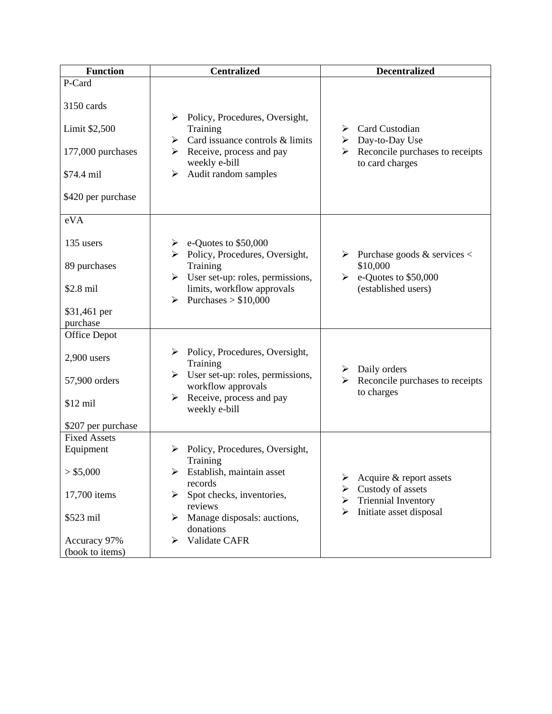| <b>Function</b>          | <b>Centralized</b>                                                           | <b>Decentralized</b>                                      |
|--------------------------|------------------------------------------------------------------------------|-----------------------------------------------------------|
| P-Card                   |                                                                              |                                                           |
| 3150 cards               | Policy, Procedures, Oversight,<br>➤                                          |                                                           |
| Limit \$2,500            | Training<br>Card issuance controls & limits<br>➤                             | Card Custodian<br>➤<br>Day-to-Day Use<br>≻                |
| 177,000 purchases        | Receive, process and pay<br>➤<br>weekly e-bill                               | Reconcile purchases to receipts<br>≻<br>to card charges   |
| \$74.4 mil               | Audit random samples<br>≻                                                    |                                                           |
| \$420 per purchase       |                                                                              |                                                           |
| eVA                      |                                                                              |                                                           |
| 135 users                | $\triangleright$ e-Quotes to \$50,000<br>Policy, Procedures, Oversight,<br>➤ | $\triangleright$ Purchase goods & services <              |
| 89 purchases             | Training<br>User set-up: roles, permissions,<br>➤                            | \$10,000<br>e-Quotes to \$50,000<br>$\blacktriangleright$ |
| \$2.8 mil                | limits, workflow approvals<br>Purchases $> $10,000$<br>➤                     | (established users)                                       |
| \$31,461 per<br>purchase |                                                                              |                                                           |
| Office Depot             |                                                                              |                                                           |
| $2,900$ users            | Policy, Procedures, Oversight,<br>➤<br>Training                              | $\triangleright$ Daily orders                             |
| 57,900 orders            | User set-up: roles, permissions,<br>➤<br>workflow approvals                  | Reconcile purchases to receipts<br>≻<br>to charges        |
| $$12$ mil                | Receive, process and pay<br>➤<br>weekly e-bill                               |                                                           |
| \$207 per purchase       |                                                                              |                                                           |
| <b>Fixed Assets</b>      |                                                                              |                                                           |
| Equipment                | Policy, Procedures, Oversight,<br>⋗<br>Training                              |                                                           |
| > \$5,000                | Establish, maintain asset<br>➤<br>records                                    | Acquire & report assets<br>➤                              |
| 17,700 items             | Spot checks, inventories,<br>➤<br>reviews                                    | Custody of assets<br>≻<br><b>Triennial Inventory</b><br>➤ |
| \$523 mil                | Manage disposals: auctions,<br>⋗<br>donations                                | Initiate asset disposal<br>➤                              |
| Accuracy 97%             | Validate CAFR<br>➤                                                           |                                                           |
| (book to items)          |                                                                              |                                                           |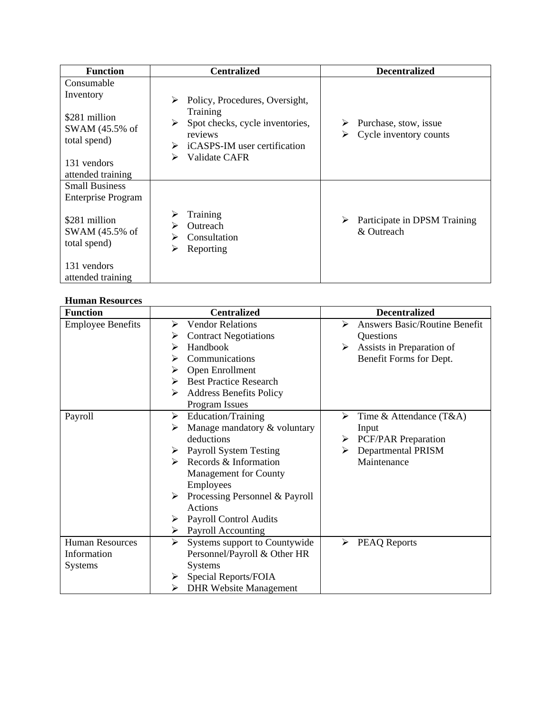| <b>Function</b>                                                            | <b>Centralized</b>                                                                                                                      | <b>Decentralized</b>                                 |
|----------------------------------------------------------------------------|-----------------------------------------------------------------------------------------------------------------------------------------|------------------------------------------------------|
| Consumable<br>Inventory<br>\$281 million<br>SWAM (45.5% of<br>total spend) | Policy, Procedures, Oversight,<br>⋗<br>Training<br>Spot checks, cycle inventories,<br>⋗<br>reviews<br>iCASPS-IM user certification<br>➤ | Purchase, stow, issue<br>Cycle inventory counts<br>➤ |
| 131 vendors<br>attended training                                           | Validate CAFR<br>⋗                                                                                                                      |                                                      |
| <b>Small Business</b><br><b>Enterprise Program</b>                         |                                                                                                                                         |                                                      |
| \$281 million<br>SWAM (45.5% of<br>total spend)                            | ⋗<br>Training<br><b>Outreach</b><br>Consultation<br>⋗<br>Reporting                                                                      | ➤<br>Participate in DPSM Training<br>& Outreach      |
| 131 vendors<br>attended training                                           |                                                                                                                                         |                                                      |

## **Human Resources**

| <b>Function</b>          | <b>Centralized</b>                  | <b>Decentralized</b>                      |
|--------------------------|-------------------------------------|-------------------------------------------|
| <b>Employee Benefits</b> | <b>Vendor Relations</b><br>⋗        | <b>Answers Basic/Routine Benefit</b><br>↘ |
|                          | <b>Contract Negotiations</b><br>➤   | Questions                                 |
|                          | Handbook<br>⋗                       | Assists in Preparation of<br>➤            |
|                          | Communications<br>⋗                 | Benefit Forms for Dept.                   |
|                          | Open Enrollment<br>⋗                |                                           |
|                          | <b>Best Practice Research</b><br>⋗  |                                           |
|                          | <b>Address Benefits Policy</b><br>➤ |                                           |
|                          | Program Issues                      |                                           |
| Payroll                  | Education/Training<br>➤             | ≻<br>Time & Attendance $(T&A)$            |
|                          | Manage mandatory & voluntary<br>⋗   | Input                                     |
|                          | deductions                          | <b>PCF/PAR Preparation</b><br>➤           |
|                          | <b>Payroll System Testing</b><br>➤  | <b>Departmental PRISM</b><br>➤            |
|                          | Records & Information<br>↘          | Maintenance                               |
|                          | Management for County               |                                           |
|                          | Employees                           |                                           |
|                          | Processing Personnel & Payroll<br>≻ |                                           |
|                          | Actions                             |                                           |
|                          | <b>Payroll Control Audits</b><br>➤  |                                           |
|                          | Payroll Accounting<br>➤             |                                           |
| <b>Human Resources</b>   | Systems support to Countywide<br>≻  | <b>PEAQ Reports</b><br>➤                  |
| Information              | Personnel/Payroll & Other HR        |                                           |
| Systems                  | <b>Systems</b>                      |                                           |
|                          | Special Reports/FOIA<br>➤           |                                           |
|                          | <b>DHR Website Management</b>       |                                           |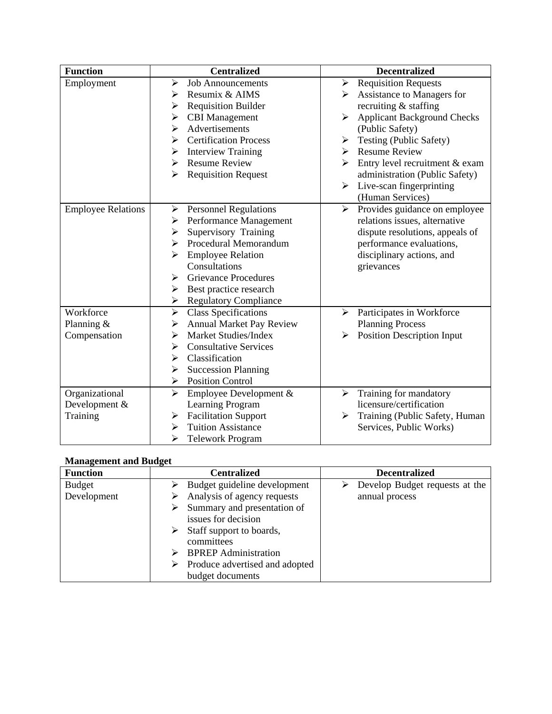| <b>Function</b>           | <b>Centralized</b>                                   | <b>Decentralized</b>                                        |
|---------------------------|------------------------------------------------------|-------------------------------------------------------------|
| Employment                | <b>Job Announcements</b><br>➤                        | <b>Requisition Requests</b><br>$\blacktriangleright$        |
|                           | Resumix & AIMS<br>➤                                  | Assistance to Managers for                                  |
|                           | <b>Requisition Builder</b><br>➤                      | recruiting & staffing                                       |
|                           | <b>CBI</b> Management<br>➤                           | <b>Applicant Background Checks</b><br>$\blacktriangleright$ |
|                           | Advertisements<br>➤                                  | (Public Safety)                                             |
|                           | <b>Certification Process</b><br>➤                    | Testing (Public Safety)<br>➤                                |
|                           | <b>Interview Training</b><br>≻                       | <b>Resume Review</b><br>➤                                   |
|                           | <b>Resume Review</b><br>≻                            | Entry level recruitment & exam<br>➤                         |
|                           | <b>Requisition Request</b><br>➤                      | administration (Public Safety)                              |
|                           |                                                      | Live-scan fingerprinting<br>$\blacktriangleright$           |
|                           |                                                      | (Human Services)                                            |
| <b>Employee Relations</b> | <b>Personnel Regulations</b><br>➤                    | Provides guidance on employee<br>$\blacktriangleright$      |
|                           | Performance Management<br>➤                          | relations issues, alternative                               |
|                           | Supervisory Training<br>➤                            | dispute resolutions, appeals of                             |
|                           | Procedural Memorandum<br>➤                           | performance evaluations,                                    |
|                           | <b>Employee Relation</b><br>➤                        | disciplinary actions, and                                   |
|                           | Consultations                                        | grievances                                                  |
|                           | <b>Grievance Procedures</b><br>➤                     |                                                             |
|                           | Best practice research<br>≻                          |                                                             |
|                           | <b>Regulatory Compliance</b><br>➤                    |                                                             |
| Workforce                 | $\blacktriangleright$<br><b>Class Specifications</b> | Participates in Workforce<br>↘                              |
| Planning $&$              | <b>Annual Market Pay Review</b><br>➤                 | <b>Planning Process</b>                                     |
| Compensation              | <b>Market Studies/Index</b><br>➤                     | <b>Position Description Input</b><br>➤                      |
|                           | <b>Consultative Services</b><br>➤                    |                                                             |
|                           | Classification<br>➤                                  |                                                             |
|                           | <b>Succession Planning</b><br>➤                      |                                                             |
|                           | <b>Position Control</b><br>➤                         |                                                             |
| Organizational            | $\blacktriangleright$<br>Employee Development &      | Training for mandatory<br>➤                                 |
| Development &             | Learning Program                                     | licensure/certification                                     |
| Training                  | <b>Facilitation Support</b><br>➤                     | Training (Public Safety, Human<br>➤                         |
|                           | <b>Tuition Assistance</b><br>➤                       | Services, Public Works)                                     |
|                           | ➤<br><b>Telework Program</b>                         |                                                             |

## **Management and Budget**

| <b>Function</b> | <b>Centralized</b>               | <b>Decentralized</b>           |
|-----------------|----------------------------------|--------------------------------|
| <b>Budget</b>   | Budget guideline development     | Develop Budget requests at the |
| Development     | Analysis of agency requests      | annual process                 |
|                 | Summary and presentation of<br>➤ |                                |
|                 | issues for decision              |                                |
|                 | Staff support to boards,<br>➤    |                                |
|                 | committees                       |                                |
|                 | <b>BPREP</b> Administration      |                                |
|                 | Produce advertised and adopted   |                                |
|                 | budget documents                 |                                |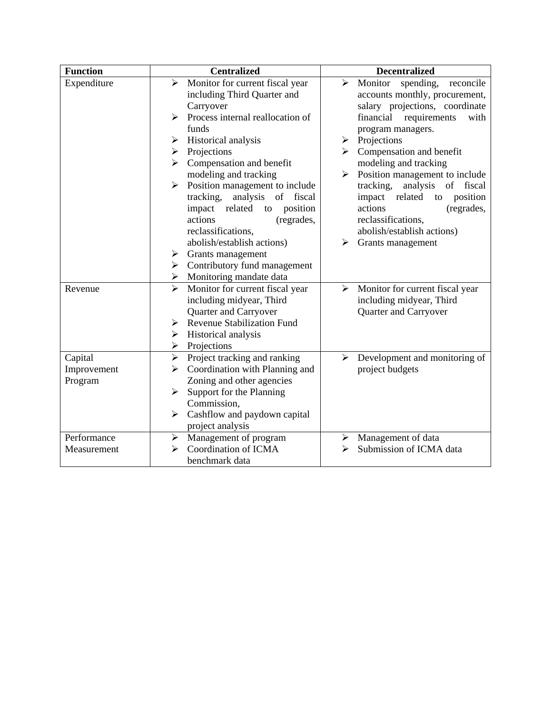| <b>Function</b> | <b>Centralized</b>                                       | <b>Decentralized</b>                                    |
|-----------------|----------------------------------------------------------|---------------------------------------------------------|
| Expenditure     | $\blacktriangleright$<br>Monitor for current fiscal year | $\blacktriangleright$<br>Monitor spending,<br>reconcile |
|                 | including Third Quarter and                              | accounts monthly, procurement,                          |
|                 | Carryover                                                | salary projections, coordinate                          |
|                 | Process internal reallocation of<br>↘                    | financial<br>requirements<br>with                       |
|                 | funds                                                    | program managers.                                       |
|                 | Historical analysis<br>➤                                 | Projections<br>≻                                        |
|                 | Projections<br>➤                                         | Compensation and benefit                                |
|                 | Compensation and benefit<br>➤                            | modeling and tracking                                   |
|                 | modeling and tracking                                    | Position management to include<br>$\blacktriangleright$ |
|                 | Position management to include<br>➤                      | tracking,<br>analysis of fiscal                         |
|                 | tracking, analysis of fiscal                             | impact related<br>position<br>to                        |
|                 | impact related<br>position<br>to                         | actions<br>(regrades,                                   |
|                 | actions<br>(regrades,                                    | reclassifications,                                      |
|                 | reclassifications,                                       | abolish/establish actions)                              |
|                 | abolish/establish actions)                               | Grants management<br>⋗                                  |
|                 | $\triangleright$ Grants management                       |                                                         |
|                 | $\triangleright$ Contributory fund management            |                                                         |
|                 | $\triangleright$ Monitoring mandate data                 |                                                         |
| Revenue         | $\blacktriangleright$<br>Monitor for current fiscal year | Monitor for current fiscal year<br>➤                    |
|                 | including midyear, Third<br>Quarter and Carryover        | including midyear, Third<br>Quarter and Carryover       |
|                 | <b>Revenue Stabilization Fund</b><br>≻                   |                                                         |
|                 | Historical analysis<br>➤                                 |                                                         |
|                 | Projections<br>≻                                         |                                                         |
| Capital         | Project tracking and ranking<br>$\blacktriangleright$    | Development and monitoring of<br>➤                      |
| Improvement     | Coordination with Planning and<br>➤                      | project budgets                                         |
| Program         | Zoning and other agencies                                |                                                         |
|                 | Support for the Planning<br>➤                            |                                                         |
|                 | Commission,                                              |                                                         |
|                 | Cashflow and paydown capital<br>➤                        |                                                         |
|                 | project analysis                                         |                                                         |
| Performance     | Management of program<br>$\blacktriangleright$           | Management of data<br>➤                                 |
| Measurement     | Coordination of ICMA<br>⋗                                | Submission of ICMA data                                 |
|                 | benchmark data                                           |                                                         |